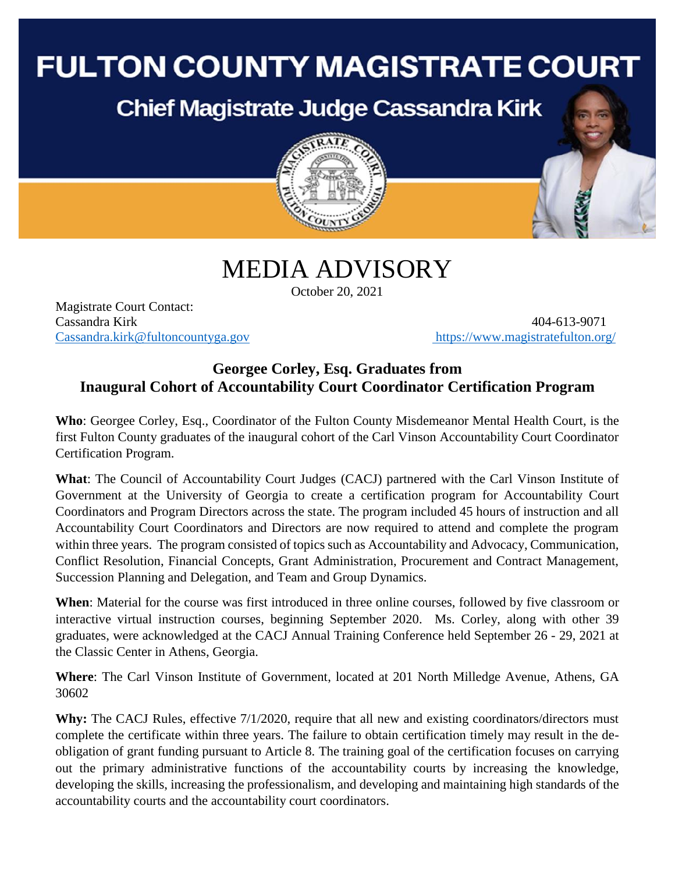# **FULTON COUNTY MAGISTRATE COURT**

## Chief Magistrate Judge Cassandra Kirk



### MEDIA ADVISORY

October 20, 2021

Magistrate Court Contact: Cassandra Kirk 404-613-9071 [Cassandra.kirk@fultoncountyga.gov](mailto:Cassandra.kirk@fultoncountyga.gov) <https://www.magistratefulton.org/>

#### **Georgee Corley, Esq. Graduates from Inaugural Cohort of Accountability Court Coordinator Certification Program**

**Who**: Georgee Corley, Esq., Coordinator of the Fulton County Misdemeanor Mental Health Court, is the first Fulton County graduates of the inaugural cohort of the Carl Vinson Accountability Court Coordinator Certification Program.

**What**: The Council of Accountability Court Judges (CACJ) partnered with the Carl Vinson Institute of Government at the University of Georgia to create a certification program for Accountability Court Coordinators and Program Directors across the state. The program included 45 hours of instruction and all Accountability Court Coordinators and Directors are now required to attend and complete the program within three years. The program consisted of topics such as Accountability and Advocacy, Communication, Conflict Resolution, Financial Concepts, Grant Administration, Procurement and Contract Management, Succession Planning and Delegation, and Team and Group Dynamics.

**When**: Material for the course was first introduced in three online courses, followed by five classroom or interactive virtual instruction courses, beginning September 2020. Ms. Corley, along with other 39 graduates, were acknowledged at the CACJ Annual Training Conference held September 26 - 29, 2021 at the Classic Center in Athens, Georgia.

**Where**: The Carl Vinson Institute of Government, located at 201 North Milledge Avenue, Athens, GA 30602

Why: The CACJ Rules, effective  $7/1/2020$ , require that all new and existing coordinators/directors must complete the certificate within three years. The failure to obtain certification timely may result in the deobligation of grant funding pursuant to Article 8. The training goal of the certification focuses on carrying out the primary administrative functions of the accountability courts by increasing the knowledge, developing the skills, increasing the professionalism, and developing and maintaining high standards of the accountability courts and the accountability court coordinators.